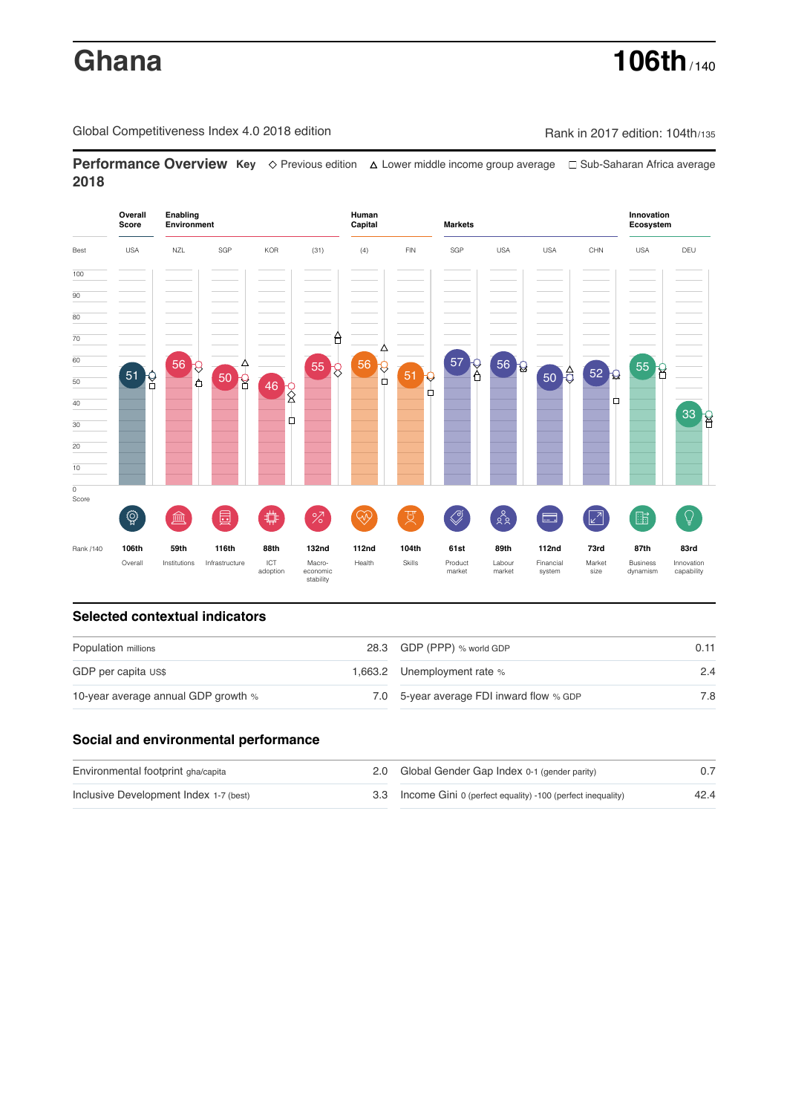# **Ghana 106th** / 140

Global Competitiveness Index 4.0 2018 edition Company Rank in 2017 edition: 104th/135

**Performance Overview Key** Previous edition Lower middle income group average Sub-Saharan Africa average **2018**



## **Selected contextual indicators**

| Population millions                 | 28.3 GDP (PPP) % world GDP               | 0.11 |  |
|-------------------------------------|------------------------------------------|------|--|
| GDP per capita US\$                 | 1,663.2 Unemployment rate %              | 2.4  |  |
| 10-year average annual GDP growth % | 7.0 5-year average FDI inward flow % GDP | 7.8  |  |

## **Social and environmental performance**

| Environmental footprint gha/capita     | 2.0 Global Gender Gap Index 0-1 (gender parity)                |      |
|----------------------------------------|----------------------------------------------------------------|------|
| Inclusive Development Index 1-7 (best) | 3.3 Income Gini 0 (perfect equality) -100 (perfect inequality) | 42.4 |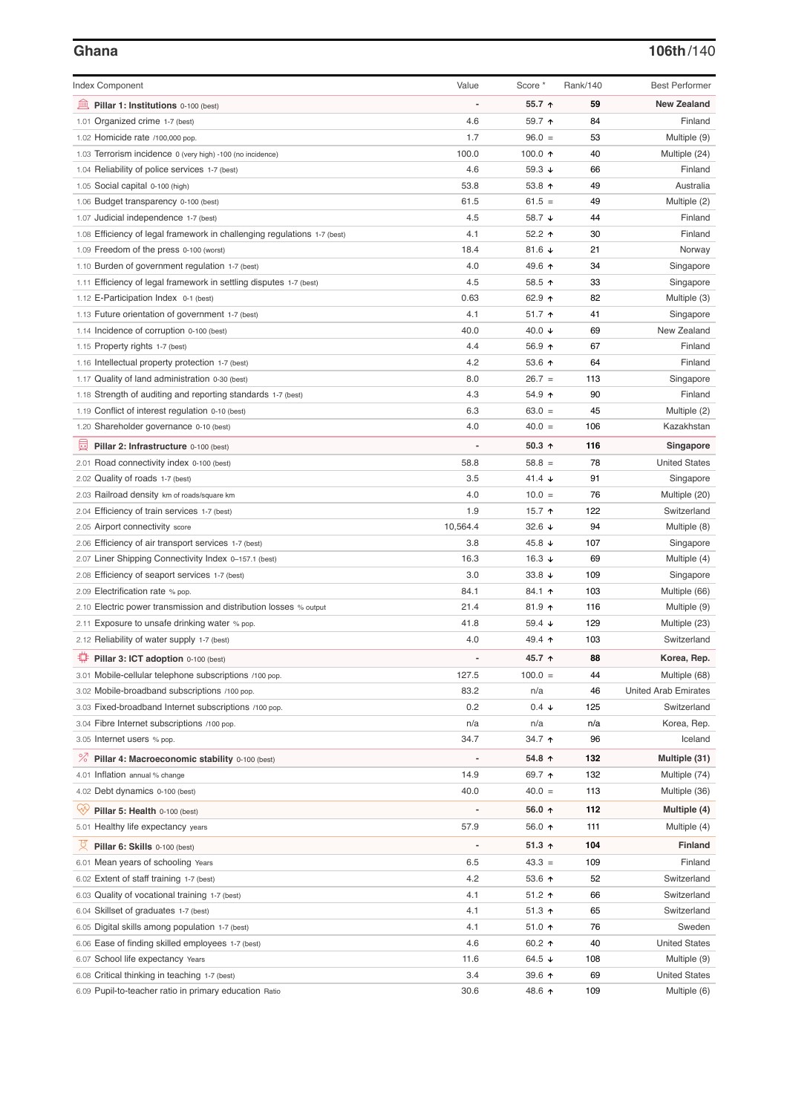## **Ghana 106th**/140

| <b>Index Component</b>                                                   | Value          | Score *          | Rank/140 | <b>Best Performer</b>       |
|--------------------------------------------------------------------------|----------------|------------------|----------|-----------------------------|
| 皿<br>Pillar 1: Institutions 0-100 (best)                                 |                | 55.7 ↑           | 59       | <b>New Zealand</b>          |
| 1.01 Organized crime 1-7 (best)                                          | 4.6            | 59.7 ↑           | 84       | Finland                     |
| 1.02 Homicide rate /100,000 pop.                                         | 1.7            | $96.0 =$         | 53       | Multiple (9)                |
| 1.03 Terrorism incidence 0 (very high) -100 (no incidence)               | 100.0          | 100.0 $\uparrow$ | 40       | Multiple (24)               |
| 1.04 Reliability of police services 1-7 (best)                           | 4.6            | 59.3 $\sqrt{ }$  | 66       | Finland                     |
| 1.05 Social capital 0-100 (high)                                         | 53.8           | 53.8 $\uparrow$  | 49       | Australia                   |
| 1.06 Budget transparency 0-100 (best)                                    | 61.5           | $61.5 =$         | 49       | Multiple (2)                |
| 1.07 Judicial independence 1-7 (best)                                    | 4.5            | 58.7 ↓           | 44       | Finland                     |
| 1.08 Efficiency of legal framework in challenging regulations 1-7 (best) | 4.1            | 52.2 $\uparrow$  | 30       | Finland                     |
| 1.09 Freedom of the press 0-100 (worst)                                  | 18.4           | 81.6 $\sqrt{ }$  | 21       | Norway                      |
| 1.10 Burden of government regulation 1-7 (best)                          | 4.0            | 49.6 ↑           | 34       | Singapore                   |
| 1.11 Efficiency of legal framework in settling disputes 1-7 (best)       | 4.5            | 58.5 $\uparrow$  | 33       | Singapore                   |
| 1.12 E-Participation Index 0-1 (best)                                    | 0.63           | 62.9 ↑           | 82       | Multiple (3)                |
| 1.13 Future orientation of government 1-7 (best)                         | 4.1            | $51.7$ ↑         | 41       | Singapore                   |
| 1.14 Incidence of corruption 0-100 (best)                                | 40.0           | 40.0 $\sqrt{ }$  | 69       | New Zealand                 |
| 1.15 Property rights 1-7 (best)                                          | 4.4            | 56.9 ↑           | 67       | Finland                     |
| 1.16 Intellectual property protection 1-7 (best)                         | 4.2            | 53.6 $\uparrow$  | 64       | Finland                     |
| 1.17 Quality of land administration 0-30 (best)                          | 8.0            | $26.7 =$         | 113      | Singapore                   |
| 1.18 Strength of auditing and reporting standards 1-7 (best)             | 4.3            | 54.9 ↑           | 90       | Finland                     |
| 1.19 Conflict of interest regulation 0-10 (best)                         | 6.3            | $63.0 =$         | 45       | Multiple (2)                |
| 1.20 Shareholder governance 0-10 (best)                                  | 4.0            | $40.0 =$         | 106      | Kazakhstan                  |
|                                                                          |                |                  |          |                             |
| 圓<br>Pillar 2: Infrastructure 0-100 (best)                               |                | 50.3 $\uparrow$  | 116      | Singapore                   |
| 2.01 Road connectivity index 0-100 (best)                                | 58.8           | $58.8 =$         | 78       | <b>United States</b>        |
| 2.02 Quality of roads 1-7 (best)                                         | 3.5            | 41.4 $\sqrt{ }$  | 91       | Singapore                   |
| 2.03 Railroad density km of roads/square km                              | 4.0            | $10.0 =$         | 76       | Multiple (20)               |
| 2.04 Efficiency of train services 1-7 (best)                             | 1.9            | 15.7 $\uparrow$  | 122      | Switzerland                 |
| 2.05 Airport connectivity score                                          | 10,564.4       | 32.6 $\sqrt{ }$  | 94       | Multiple (8)                |
| 2.06 Efficiency of air transport services 1-7 (best)                     | 3.8            | 45.8 $\sqrt{ }$  | 107      | Singapore                   |
| 2.07 Liner Shipping Connectivity Index 0-157.1 (best)                    | 16.3           | 16.3 $\sqrt{ }$  | 69       | Multiple (4)                |
| 2.08 Efficiency of seaport services 1-7 (best)                           | 3.0            | 33.8 $\sqrt{ }$  | 109      | Singapore                   |
| 2.09 Electrification rate % pop.                                         | 84.1           | 84.1 ↑           | 103      | Multiple (66)               |
| 2.10 Electric power transmission and distribution losses % output        | 21.4           | $81.9$ ↑         | 116      | Multiple (9)                |
| 2.11 Exposure to unsafe drinking water % pop.                            | 41.8           | 59.4 $\sqrt{ }$  | 129      | Multiple (23)               |
| 2.12 Reliability of water supply 1-7 (best)                              | 4.0            | 49.4 ↑           | 103      | Switzerland                 |
| ₽<br>Pillar 3: ICT adoption 0-100 (best)                                 |                | 45.7 $\uparrow$  | 88       | Korea, Rep.                 |
| 3.01 Mobile-cellular telephone subscriptions /100 pop.                   | 127.5          | $100.0 =$        | 44       | Multiple (68)               |
| 3.02 Mobile-broadband subscriptions /100 pop.                            | 83.2           | n/a              | 46       | <b>United Arab Emirates</b> |
| 3.03 Fixed-broadband Internet subscriptions /100 pop.                    | 0.2            | $0.4 \cdot$      | 125      | Switzerland                 |
| 3.04 Fibre Internet subscriptions /100 pop.                              | n/a            | n/a              | n/a      | Korea, Rep.                 |
| 3.05 Internet users % pop.                                               | 34.7           | 34.7 ↑           | 96       | Iceland                     |
| <sup>%</sup> Pillar 4: Macroeconomic stability 0-100 (best)              | $\overline{a}$ | 54.8 ↑           | 132      | Multiple (31)               |
| 4.01 Inflation annual % change                                           | 14.9           | 69.7 ↑           | 132      | Multiple (74)               |
| 4.02 Debt dynamics 0-100 (best)                                          | 40.0           | $40.0 =$         | 113      | Multiple (36)               |
|                                                                          |                |                  |          |                             |
| Qÿ<br>Pillar 5: Health 0-100 (best)                                      |                | 56.0 $\uparrow$  | 112      | Multiple (4)                |
| 5.01 Healthy life expectancy years                                       | 57.9           | 56.0 ↑           | 111      | Multiple (4)                |
| 성<br>Pillar 6: Skills 0-100 (best)                                       |                | $51.3$ ↑         | 104      | <b>Finland</b>              |
| 6.01 Mean years of schooling Years                                       | 6.5            | $43.3 =$         | 109      | Finland                     |
| 6.02 Extent of staff training 1-7 (best)                                 | 4.2            | 53.6 $\uparrow$  | 52       | Switzerland                 |
| 6.03 Quality of vocational training 1-7 (best)                           | 4.1            | $51.2$ 1         | 66       | Switzerland                 |
| 6.04 Skillset of graduates 1-7 (best)                                    | 4.1            | $51.3$ ↑         | 65       | Switzerland                 |
| 6.05 Digital skills among population 1-7 (best)                          | 4.1            | $51.0$ ↑         | 76       | Sweden                      |
| 6.06 Ease of finding skilled employees 1-7 (best)                        | 4.6            | 60.2 $\uparrow$  | 40       | <b>United States</b>        |
| 6.07 School life expectancy Years                                        | 11.6           | 64.5 $\sqrt{ }$  | 108      | Multiple (9)                |
| 6.08 Critical thinking in teaching 1-7 (best)                            | 3.4            | 39.6 个           | 69       | <b>United States</b>        |
| 6.09 Pupil-to-teacher ratio in primary education Ratio                   | 30.6           | 48.6 ↑           | 109      | Multiple (6)                |